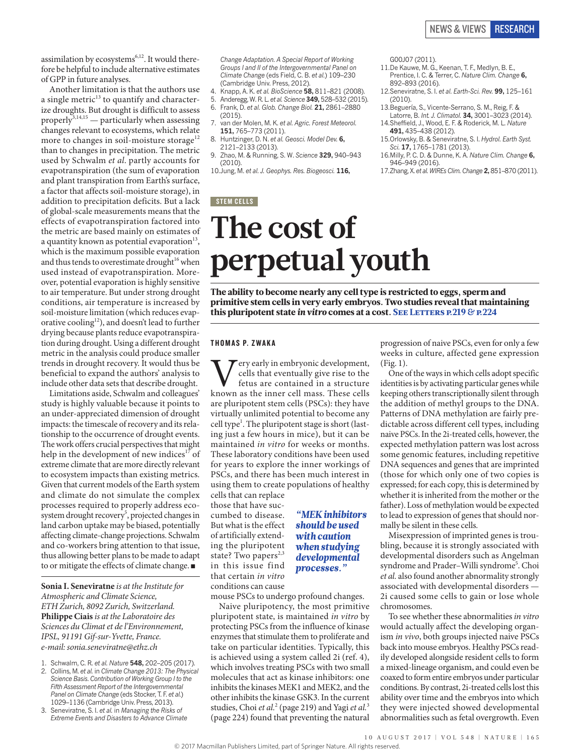assimilation by ecosystems $6,12$ . It would therefore be helpful to include alternative estimates of GPP in future analyses.

Another limitation is that the authors use a single metric $13$  to quantify and characterize droughts. But drought is difficult to assess properly<sup>3,14,15</sup> — particularly when assessing changes relevant to ecosystems, which relate more to changes in soil-moisture storage<sup>12</sup> than to changes in precipitation. The metric used by Schwalm *et al*. partly accounts for evapotranspiration (the sum of evaporation and plant transpiration from Earth's surface, a factor that affects soil-moisture storage), in addition to precipitation deficits. But a lack of global-scale measurements means that the effects of evapotranspiration factored into the metric are based mainly on estimates of a quantity known as potential evaporation $13$ , which is the maximum possible evaporation and thus tends to overestimate drought<sup>16</sup> when used instead of evapotranspiration. Moreover, potential evaporation is highly sensitive to air temperature. But under strong drought conditions, air temperature is increased by soil-moisture limitation (which reduces evaporative cooling<sup>12</sup>), and doesn't lead to further drying because plants reduce evapotranspiration during drought. Using a different drought metric in the analysis could produce smaller trends in drought recovery. It would thus be beneficial to expand the authors' analysis to include other data sets that describe drought.

Limitations aside, Schwalm and colleagues' study is highly valuable because it points to an under-appreciated dimension of drought impacts: the timescale of recovery and its relationship to the occurrence of drought events. The work offers crucial perspectives that might help in the development of new indices $^{17}$  of extreme climate that are more directly relevant to ecosystem impacts than existing metrics. Given that current models of the Earth system and climate do not simulate the complex processes required to properly address ecosystem drought recovery<sup>5</sup>, projected changes in land carbon uptake may be biased, potentially affecting climate-change projections. Schwalm and co-workers bring attention to that issue, thus allowing better plans to be made to adapt to or mitigate the effects of climate change. ■

**Sonia I. Seneviratne** *is at the Institute for Atmospheric and Climate Science, ETH Zurich, 8092 Zurich, Switzerland.*  **Philippe Ciais** *is at the Laboratoire des Sciences du Climat et de l'Environnement, IPSL, 91191 Gif-sur-Yvette, France. e-mail: sonia.seneviratne@ethz.ch*

- 1. Schwalm, C. R. *et al. Nature* **548,** 202–205 (2017).
- 2. Collins, M. *et al.* in *Climate Change 2013: The Physical Science Basis*. *Contribution of Working Group I to the Fifth Assessment Report of the Intergovernmental Panel on Climate Change* (eds Stocker, T. F. *et al.*) 1029–1136 (Cambridge Univ. Press, 2013).
- 3. Seneviratne, S. I. *et al.* in *Managing the Risks of Extreme Events and Disasters to Advance Climate*

*Change Adaptation. A Special Report of Working Groups I and II of the Intergovernmental Panel on Climate Change* (eds Field, C. B. *et al.*) 109–230 (Cambridge Univ. Press, 2012).

- 4. Knapp, A. K. *et al. BioScience* **58,** 811–821 (2008).
- 5. Anderegg, W. R. L. *et al. Science* **349,** 528–532 (2015).
- 6. Frank, D. *et al. Glob. Change Biol.* **21,** 2861–2880
- (2015). 7. van der Molen, M. K. *et al. Agric. Forest Meteorol.*
- **151,** 765–773 (2011). 8. Huntzinger, D. N. *et al. Geosci. Model Dev.* **6,**
- 2121–2133 (2013). 9. Zhao, M. & Running, S. W. *Science* **329,** 940–943
- (2010). 10.Jung, M. *et al. J. Geophys. Res. Biogeosci.* **116,**

# STEM CELLS

G00J07 (2011).

- 11.De Kauwe, M. G., Keenan, T. F., Medlyn, B. E., Prentice, I. C. & Terrer, C. *Nature Clim. Change* **6,** 892–893 (2016).
- 12.Seneviratne, S. I. *et al. Earth-Sci. Rev.* **99,** 125–161 (2010).
- 13.Beguería, S., Vicente-Serrano, S. M., Reig, F. & Latorre, B. *Int. J. Climatol.* **34,** 3001–3023 (2014). 14.Sheffield, J., Wood, E. F. & Roderick, M. L. *Nature*
- **491,** 435–438 (2012). 15.Orlowsky, B. & Seneviratne, S. I. *Hydrol. Earth Syst.*
- *Sci.* **17,** 1765–1781 (2013).
- 16.Milly, P. C. D. & Dunne, K. A. *Nature Clim. Change* **6,** 946–949 (2016).
- 17.Zhang, X. *et al. WIREs Clim. Change* **2,** 851–870 (2011).

# **The cost of perpetual youth**

The ability to become nearly any cell type is restricted to eggs, sperm and primitive stem cells in very early embryos. Two studies reveal that maintaining this pluripotent state *in vitro* comes at a cost. SEE LETTERS P.219 & p.224

# THOMAS P. ZWAKA

Very early in embryonic development, known as the inner cell mass. These cells cells that eventually give rise to the fetus are contained in a structure are pluripotent stem cells (PSCs): they have virtually unlimited potential to become any cell type<sup>1</sup>. The pluripotent stage is short (lasting just a few hours in mice), but it can be maintained *in vitro* for weeks or months. These laboratory conditions have been used for years to explore the inner workings of PSCs, and there has been much interest in using them to create populations of healthy cells that can replace

those that have succumbed to disease. But what is the effect of artificially extending the pluripotent state? Two papers $^{2,3}$ in this issue find that certain *in vitro*  conditions can cause

# *"MEK inhibitors should be used with caution when studying developmental processes."*

mouse PSCs to undergo profound changes. Naive pluripotency, the most primitive pluripotent state, is maintained *in vitro* by protecting PSCs from the influence of kinase enzymes that stimulate them to proliferate and take on particular identities. Typically, this is achieved using a system called 2i (ref. 4), which involves treating PSCs with two small molecules that act as kinase inhibitors: one inhibits the kinases MEK1 and MEK2, and the other inhibits the kinase GSK3. In the current studies, Choi *et al.*<sup>2</sup> (page 219) and Yagi *et al.*<sup>3</sup> (page 224) found that preventing the natural progression of naive PSCs, even for only a few weeks in culture, affected gene expression (Fig. 1).

One of the ways in which cells adopt specific identities is by activating particular genes while keeping others transcriptionally silent through the addition of methyl groups to the DNA. Patterns of DNA methylation are fairly predictable across different cell types, including naive PSCs. In the 2i-treated cells, however, the expected methylation pattern was lost across some genomic features, including repetitive DNA sequences and genes that are imprinted (those for which only one of two copies is expressed; for each copy, this is determined by whether it is inherited from the mother or the father). Loss of methylation would be expected to lead to expression of genes that should normally be silent in these cells*.*

Misexpression of imprinted genes is troubling, because it is strongly associated with developmental disorders such as Angelman syndrome and Prader-Willi syndrome<sup>5</sup>. Choi *et al.* also found another abnormality strongly associated with developmental disorders — 2i caused some cells to gain or lose whole chromosomes.

To see whether these abnormalities *in vitro* would actually affect the developing organism *in vivo*, both groups injected naive PSCs back into mouse embryos. Healthy PSCs readily developed alongside resident cells to form a mixed-lineage organism, and could even be coaxed to form entire embryos under particular conditions. By contrast, 2i-treated cells lost this ability over time and the embryos into which they were injected showed developmental abnormalities such as fetal overgrowth. Even

10 AUGUST 2017 | VOL 548 | NATURE | 165

© 2017 Macmillan Publishers Limited, part of Springer Nature. All rights reserved.